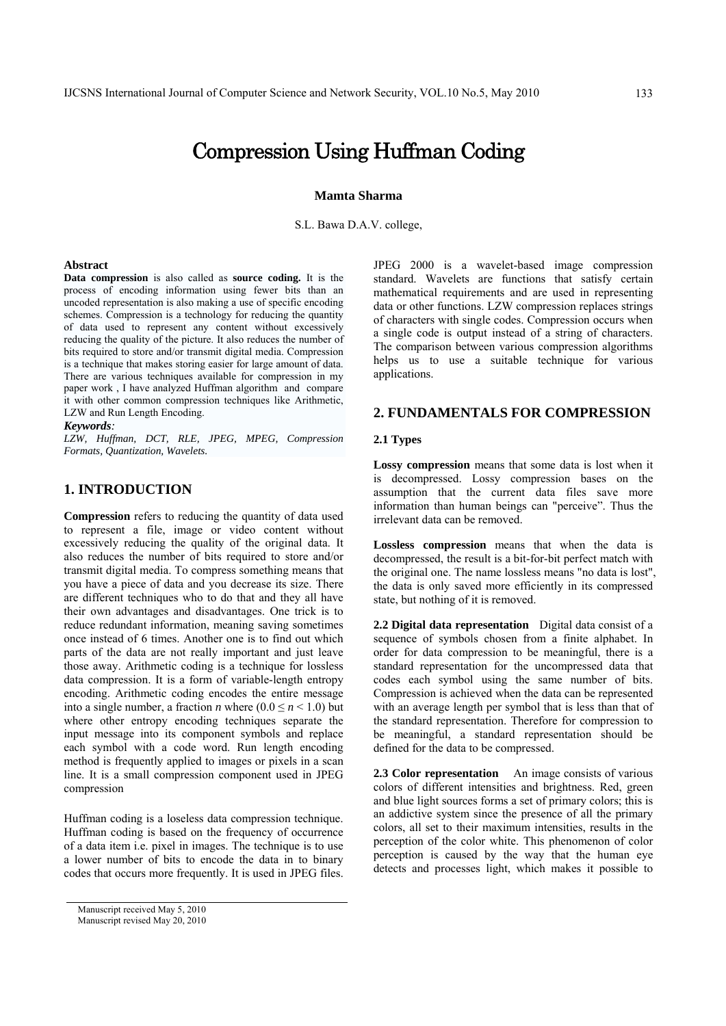# Compression Using Huffman Coding

**Mamta Sharma** 

S.L. Bawa D.A.V. college,

#### **Abstract**

**Data compression** is also called as **source coding.** It is the process of encoding information using fewer bits than an uncoded representation is also making a use of specific encoding schemes. Compression is a technology for reducing the quantity of data used to represent any content without excessively reducing the quality of the picture. It also reduces the number of bits required to store and/or transmit digital media. Compression is a technique that makes storing easier for large amount of data. There are various techniques available for compression in my paper work , I have analyzed Huffman algorithm and compare it with other common compression techniques like Arithmetic, LZW and Run Length Encoding.

#### *Keywords:*

*LZW, Huffman, DCT, RLE, JPEG, MPEG, Compression Formats, Quantization, Wavelets.*

# **1. INTRODUCTION**

**Compression** refers to reducing the quantity of data used to represent a file, image or video content without excessively reducing the quality of the original data. It also reduces the number of bits required to store and/or transmit digital media. To compress something means that you have a piece of data and you decrease its size. There are different techniques who to do that and they all have their own advantages and disadvantages. One trick is to reduce redundant information, meaning saving sometimes once instead of 6 times. Another one is to find out which parts of the data are not really important and just leave those away. Arithmetic coding is a technique for lossless data compression. It is a form of variable-length entropy encoding. Arithmetic coding encodes the entire message into a single number, a fraction *n* where  $(0.0 \le n \le 1.0)$  but where other entropy encoding techniques separate the input message into its component symbols and replace each symbol with a code word. Run length encoding method is frequently applied to images or pixels in a scan line. It is a small compression component used in JPEG compression

Huffman coding is a loseless data compression technique. Huffman coding is based on the frequency of occurrence of a data item i.e. pixel in images. The technique is to use a lower number of bits to encode the data in to binary codes that occurs more frequently. It is used in JPEG files.

JPEG 2000 is a wavelet-based image compression standard. Wavelets are functions that satisfy certain mathematical requirements and are used in representing data or other functions. LZW compression replaces strings of characters with single codes. Compression occurs when a single code is output instead of a string of characters. The comparison between various compression algorithms helps us to use a suitable technique for various applications.

# **2. FUNDAMENTALS FOR COMPRESSION**

#### **2.1 Types**

**Lossy compression** means that some data is lost when it is decompressed. Lossy compression bases on the assumption that the current data files save more information than human beings can "perceive". Thus the irrelevant data can be removed.

**Lossless compression** means that when the data is decompressed, the result is a bit-for-bit perfect match with the original one. The name lossless means "no data is lost", the data is only saved more efficiently in its compressed state, but nothing of it is removed.

**2.2 Digital data representation** Digital data consist of a sequence of symbols chosen from a finite alphabet. In order for data compression to be meaningful, there is a standard representation for the uncompressed data that codes each symbol using the same number of bits. Compression is achieved when the data can be represented with an average length per symbol that is less than that of the standard representation. Therefore for compression to be meaningful, a standard representation should be defined for the data to be compressed.

2.3 Color representation An image consists of various colors of different intensities and brightness. Red, green and blue light sources forms a set of primary colors; this is an addictive system since the presence of all the primary colors, all set to their maximum intensities, results in the perception of the color white. This phenomenon of color perception is caused by the way that the human eye detects and processes light, which makes it possible to

Manuscript received May 5, 2010 Manuscript revised May 20, 2010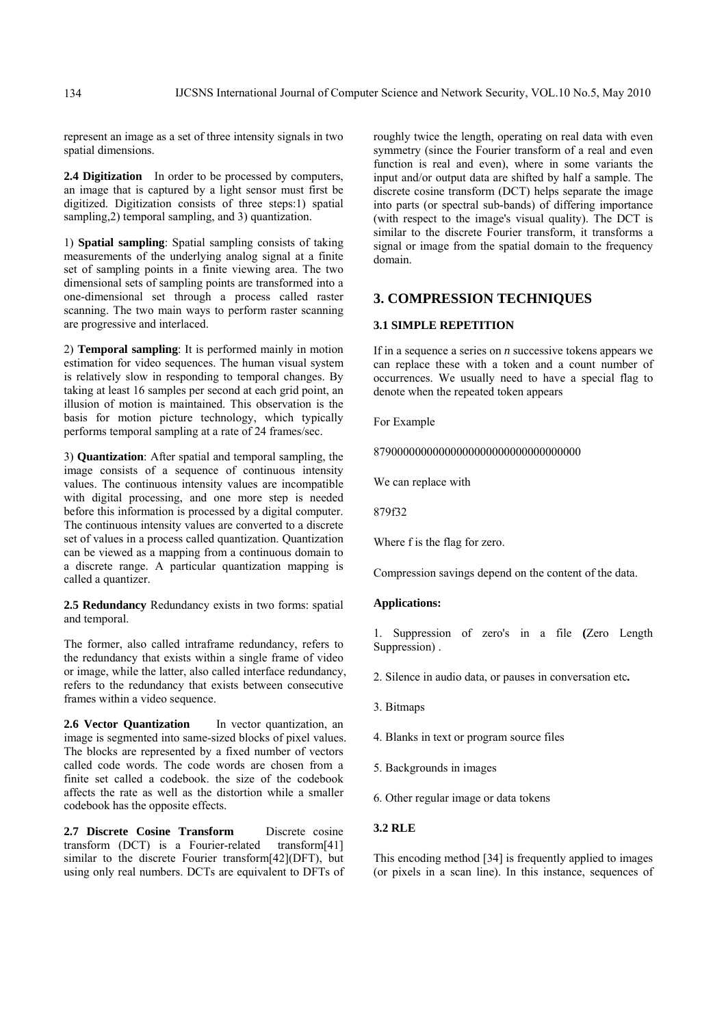represent an image as a set of three intensity signals in two spatial dimensions.

**2.4 Digitization** In order to be processed by computers, an image that is captured by a light sensor must first be digitized. Digitization consists of three steps:1) spatial sampling, 2) temporal sampling, and 3) quantization.

1) **Spatial sampling**: Spatial sampling consists of taking measurements of the underlying analog signal at a finite set of sampling points in a finite viewing area. The two dimensional sets of sampling points are transformed into a one-dimensional set through a process called raster scanning. The two main ways to perform raster scanning are progressive and interlaced.

2) **Temporal sampling**: It is performed mainly in motion estimation for video sequences. The human visual system is relatively slow in responding to temporal changes. By taking at least 16 samples per second at each grid point, an illusion of motion is maintained. This observation is the basis for motion picture technology, which typically performs temporal sampling at a rate of 24 frames/sec.

3) **Quantization**: After spatial and temporal sampling, the image consists of a sequence of continuous intensity values. The continuous intensity values are incompatible with digital processing, and one more step is needed before this information is processed by a digital computer. The continuous intensity values are converted to a discrete set of values in a process called quantization. Quantization can be viewed as a mapping from a continuous domain to a discrete range. A particular quantization mapping is called a quantizer.

**2.5 Redundancy** Redundancy exists in two forms: spatial and temporal.

The former, also called intraframe redundancy, refers to the redundancy that exists within a single frame of video or image, while the latter, also called interface redundancy, refers to the redundancy that exists between consecutive frames within a video sequence.

**2.6 Vector Quantization** In vector quantization, an image is segmented into same-sized blocks of pixel values. The blocks are represented by a fixed number of vectors called code words. The code words are chosen from a finite set called a codebook. the size of the codebook affects the rate as well as the distortion while a smaller codebook has the opposite effects.

2.7 Discrete Cosine Transform Discrete cosine transform (DCT) is a Fourier-related transform[41] similar to the discrete Fourier transform[42](DFT), but using only real numbers. DCTs are equivalent to DFTs of roughly twice the length, operating on real data with even symmetry (since the Fourier transform of a real and even function is real and even), where in some variants the input and/or output data are shifted by half a sample. The discrete cosine transform (DCT) helps separate the image into parts (or spectral sub-bands) of differing importance (with respect to the image's visual quality). The DCT is similar to the discrete Fourier transform, it transforms a signal or image from the spatial domain to the frequency domain.

# **3. COMPRESSION TECHNIQUES**

#### **3.1 SIMPLE REPETITION**

If in a sequence a series on *n* successive tokens appears we can replace these with a token and a count number of occurrences. We usually need to have a special flag to denote when the repeated token appears

For Example

87900000000000000000000000000000000

We can replace with

879f32

Where f is the flag for zero.

Compression savings depend on the content of the data.

## **Applications:**

1. Suppression of zero's in a file **(**Zero Length Suppression).

- 2. Silence in audio data, or pauses in conversation etc*.*
- 3. Bitmaps
- 4. Blanks in text or program source files
- 5. Backgrounds in images
- 6. Other regular image or data tokens

## **3.2 RLE**

This encoding method [34] is frequently applied to images (or pixels in a scan line). In this instance, sequences of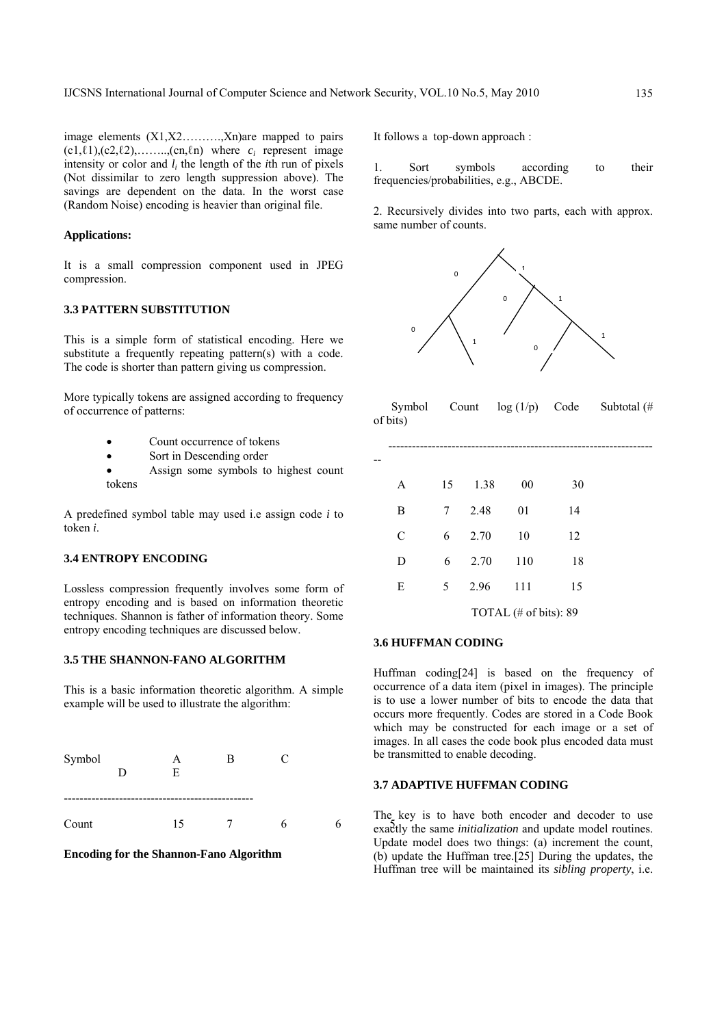image elements (X1,X2……….,Xn)are mapped to pairs (c1,ℓ1),(c2,ℓ2),……..,(cn,ℓn) where *ci* represent image intensity or color and *li* the length of the *i*th run of pixels (Not dissimilar to zero length suppression above). The savings are dependent on the data. In the worst case (Random Noise) encoding is heavier than original file.

## **Applications:**

It is a small compression component used in JPEG compression.

## **3.3 PATTERN SUBSTITUTION**

This is a simple form of statistical encoding. Here we substitute a frequently repeating pattern(s) with a code. The code is shorter than pattern giving us compression.

More typically tokens are assigned according to frequency of occurrence of patterns:

- Count occurrence of tokens
- Sort in Descending order
- Assign some symbols to highest count tokens

A predefined symbol table may used i.e assign code *i* to token *i*.

## **3.4 ENTROPY ENCODING**

Lossless compression frequently involves some form of entropy encoding and is based on information theoretic techniques. Shannon is father of information theory. Some entropy encoding techniques are discussed below.

## **3.5 THE SHANNON-FANO ALGORITHM**

This is a basic information theoretic algorithm. A simple example will be used to illustrate the algorithm:

| Symbol | E  | В | C |   | $\tilde{\phantom{a}}$<br>be tra<br>3.7 <sub>A</sub> |
|--------|----|---|---|---|-----------------------------------------------------|
| Count  | 15 |   | h | 6 | The<br>exact                                        |

**Encoding for the Shannon-Fano Algorithm**

It follows a top-down approach :

1. Sort symbols according to their frequencies/probabilities, e.g., ABCDE.

2. Recursively divides into two parts, each with approx. same number of counts.



| of bits) |    |      | Symbol Count $log(1/p)$ Code |    | Subtotal $(\#$ |
|----------|----|------|------------------------------|----|----------------|
|          |    |      |                              |    |                |
| A        | 15 | 1.38 | 00                           | 30 |                |
| B        | 7  | 2.48 | 01                           | 14 |                |
| C        | 6  | 2.70 | 10                           | 12 |                |
| D        | 6  | 2.70 | 110                          | 18 |                |
| E        | 5  | 2.96 | 111                          | 15 |                |
|          |    |      | TOTAL (# of bits): 89        |    |                |

#### **3.6 HUFFMAN CODING**

Huffman coding[24] is based on the frequency of occurrence of a data item (pixel in images). The principle is to use a lower number of bits to encode the data that occurs more frequently. Codes are stored in a Code Book which may be constructed for each image or a set of images. In all cases the code book plus encoded data must be transmitted to enable decoding.

## **3.7 ADAPTIVE HUFFMAN CODING**

The key is to have both encoder and decoder to use exactly the same *initialization* and update model routines. Update model does two things: (a) increment the count, (b) update the Huffman tree.[25] During the updates, the Huffman tree will be maintained its *sibling property*, i.e.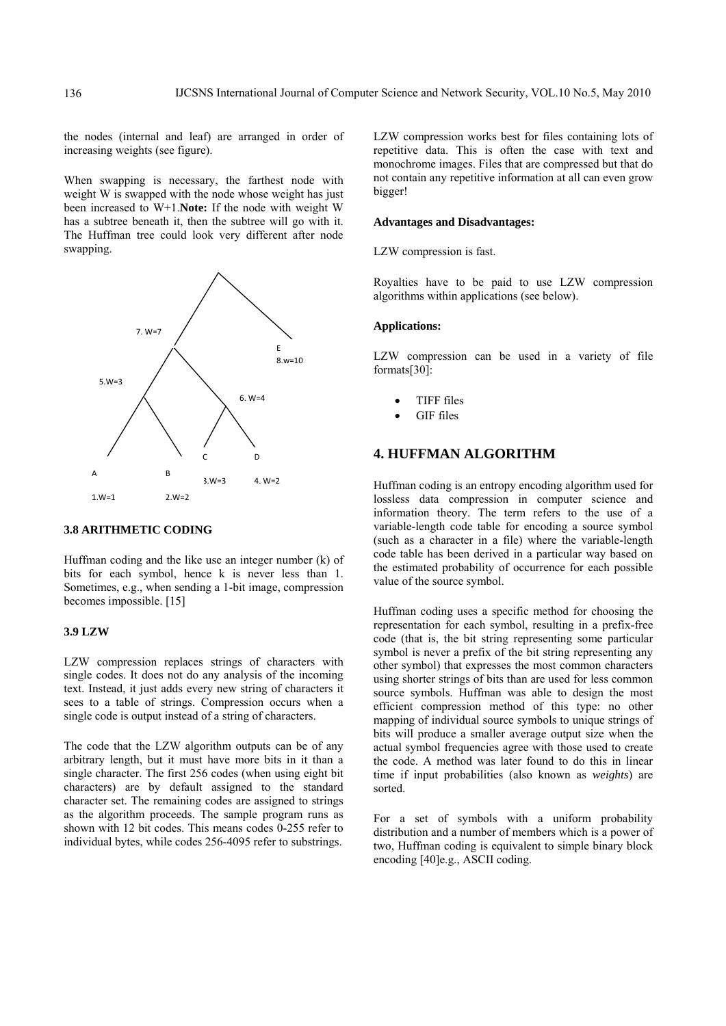the nodes (internal and leaf) are arranged in order of increasing weights (see figure).

When swapping is necessary, the farthest node with weight W is swapped with the node whose weight has just been increased to W+1.**Note:** If the node with weight W has a subtree beneath it, then the subtree will go with it. The Huffman tree could look very different after node swapping.



## **3.8 ARITHMETIC CODING**

Huffman coding and the like use an integer number (k) of bits for each symbol, hence k is never less than 1. Sometimes, e.g., when sending a 1-bit image, compression becomes impossible. [15]

#### **3.9 LZW**

LZW compression replaces strings of characters with single codes. It does not do any analysis of the incoming text. Instead, it just adds every new string of characters it sees to a table of strings. Compression occurs when a single code is output instead of a string of characters.

The code that the LZW algorithm outputs can be of any arbitrary length, but it must have more bits in it than a single character. The first 256 codes (when using eight bit characters) are by default assigned to the standard character set. The remaining codes are assigned to strings as the algorithm proceeds. The sample program runs as shown with 12 bit codes. This means codes 0-255 refer to individual bytes, while codes 256-4095 refer to substrings.

LZW compression works best for files containing lots of repetitive data. This is often the case with text and monochrome images. Files that are compressed but that do not contain any repetitive information at all can even grow bigger!

#### **Advantages and Disadvantages:**

LZW compression is fast.

Royalties have to be paid to use LZW compression algorithms within applications (see below).

## **Applications:**

LZW compression can be used in a variety of file formats[30]:

- TIFF files
- GIF files

# **4. HUFFMAN ALGORITHM**

Huffman coding is an entropy encoding algorithm used for lossless data compression in computer science and information theory. The term refers to the use of a variable-length code table for encoding a source symbol (such as a character in a file) where the variable-length code table has been derived in a particular way based on the estimated probability of occurrence for each possible value of the source symbol.

Huffman coding uses a specific method for choosing the representation for each symbol, resulting in a prefix-free code (that is, the bit string representing some particular symbol is never a prefix of the bit string representing any other symbol) that expresses the most common characters using shorter strings of bits than are used for less common source symbols. Huffman was able to design the most efficient compression method of this type: no other mapping of individual source symbols to unique strings of bits will produce a smaller average output size when the actual symbol frequencies agree with those used to create the code. A method was later found to do this in linear time if input probabilities (also known as *weights*) are sorted.

For a set of symbols with a uniform probability distribution and a number of members which is a power of two, Huffman coding is equivalent to simple binary block encoding [40]e.g., ASCII coding.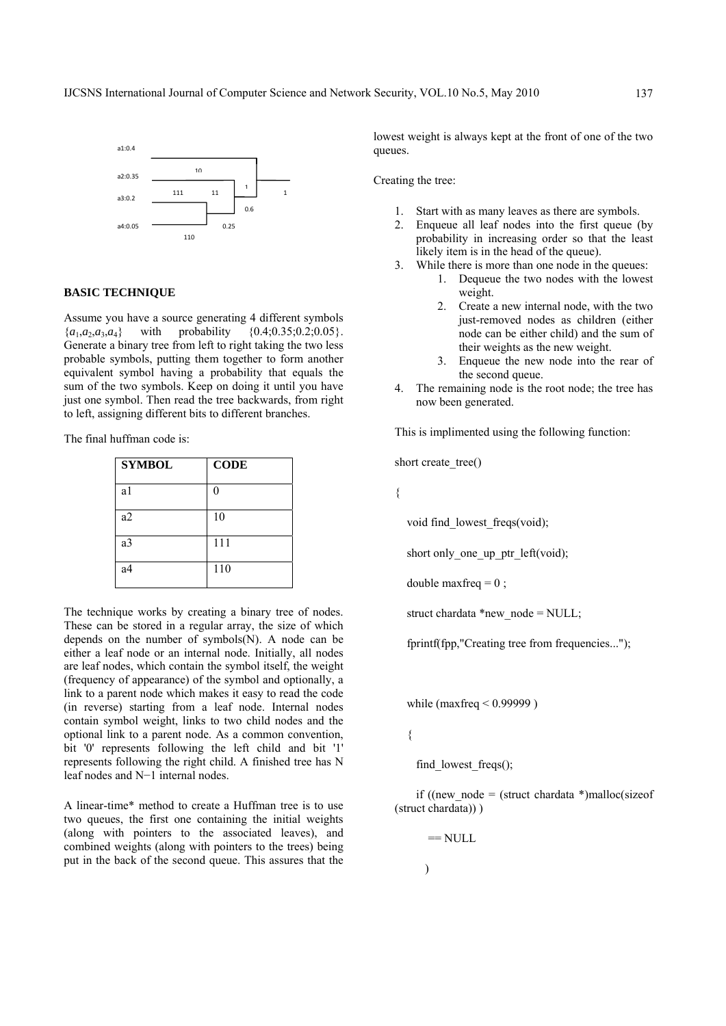

## **BASIC TECHNIQUE**

Assume you have a source generating 4 different symbols  ${a_1, a_2, a_3, a_4}$  with probability  ${0.4; 0.35; 0.2; 0.05}$ . Generate a binary tree from left to right taking the two less probable symbols, putting them together to form another equivalent symbol having a probability that equals the sum of the two symbols. Keep on doing it until you have just one symbol. Then read the tree backwards, from right to left, assigning different bits to different branches.

The final huffman code is:

| <b>SYMBOL</b>  | <b>CODE</b> |
|----------------|-------------|
| a1             | 0           |
| a2             | 10          |
| a <sub>3</sub> | 111         |
| a <sub>4</sub> | 110         |

The technique works by creating a binary tree of nodes. These can be stored in a regular array, the size of which depends on the number of symbols(N). A node can be either a leaf node or an internal node. Initially, all nodes are leaf nodes, which contain the symbol itself, the weight (frequency of appearance) of the symbol and optionally, a link to a parent node which makes it easy to read the code (in reverse) starting from a leaf node. Internal nodes contain symbol weight, links to two child nodes and the optional link to a parent node. As a common convention, bit '0' represents following the left child and bit '1' represents following the right child. A finished tree has N leaf nodes and N−1 internal nodes.

A linear-time\* method to create a Huffman tree is to use two queues, the first one containing the initial weights (along with pointers to the associated leaves), and combined weights (along with pointers to the trees) being put in the back of the second queue. This assures that the

lowest weight is always kept at the front of one of the two queues.

Creating the tree:

- 1. Start with as many leaves as there are symbols.
- 2. Enqueue all leaf nodes into the first queue (by probability in increasing order so that the least likely item is in the head of the queue).
- 3. While there is more than one node in the queues:
	- 1. Dequeue the two nodes with the lowest weight.
	- 2. Create a new internal node, with the two just-removed nodes as children (either node can be either child) and the sum of their weights as the new weight.
	- 3. Enqueue the new node into the rear of the second queue.
- 4. The remaining node is the root node; the tree has now been generated.

This is implimented using the following function:

short create\_tree()

{

void find lowest freqs(void);

short only one up ptr\_left(void);

double maxfreq  $= 0$ ;

struct chardata \*new\_node = NULL;

fprintf(fpp,"Creating tree from frequencies...");

while (maxfreq < 0.99999 )

{

find lowest freqs();

if ((new\_node = (struct chardata  $*$ )malloc(sizeof (struct chardata)) )

 $=$  NULL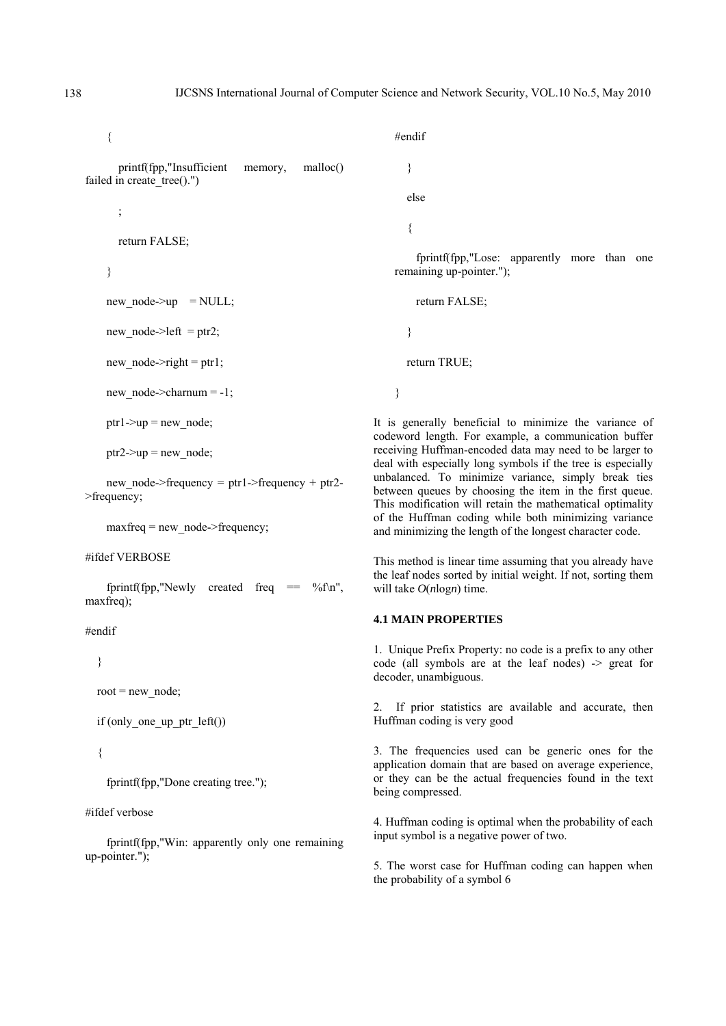{ printf(fpp,"Insufficient memory, malloc() failed in create  $tree()$ .") ; return FALSE; }  $new\_node \ge up = NULL;$ new node- $>$ left = ptr2; new node- $\ge$ right = ptr1; new\_node->charnum = -1; ptr1->up = new node; ptr2- $>up$  = new node; new node->frequency = ptr1->frequency + ptr2->frequency;  $maxfreq = new node \rightarrow frequency;$ #ifdef VERBOSE fprintf(fpp,"Newly created freq  $=$  %f\n", maxfreq); #endif }  $root = new node;$ if (only one up ptr  $left()$ ) { #endif } else { remaining up-pointer."); return FALSE; } return TRUE; } of the Huffman coding while both minimizing variance and minimizing the length of the longest character code. will take *O*(*n*log*n*) time. **4.1 MAIN PROPERTIES**  decoder, unambiguous. Huffman coding is very good

fprintf(fpp,"Done creating tree.");

## #ifdef verbose

 fprintf(fpp,"Win: apparently only one remaining up-pointer.");

fprintf(fpp,"Lose: apparently more than one

It is generally beneficial to minimize the variance of codeword length. For example, a communication buffer receiving Huffman-encoded data may need to be larger to deal with especially long symbols if the tree is especially unbalanced. To minimize variance, simply break ties between queues by choosing the item in the first queue. This modification will retain the mathematical optimality

This method is linear time assuming that you already have the leaf nodes sorted by initial weight. If not, sorting them

1. Unique Prefix Property: no code is a prefix to any other code (all symbols are at the leaf nodes) -> great for

2. If prior statistics are available and accurate, then

3. The frequencies used can be generic ones for the application domain that are based on average experience, or they can be the actual frequencies found in the text being compressed.

4. Huffman coding is optimal when the probability of each input symbol is a negative power of two.

5. The worst case for Huffman coding can happen when the probability of a symbol 6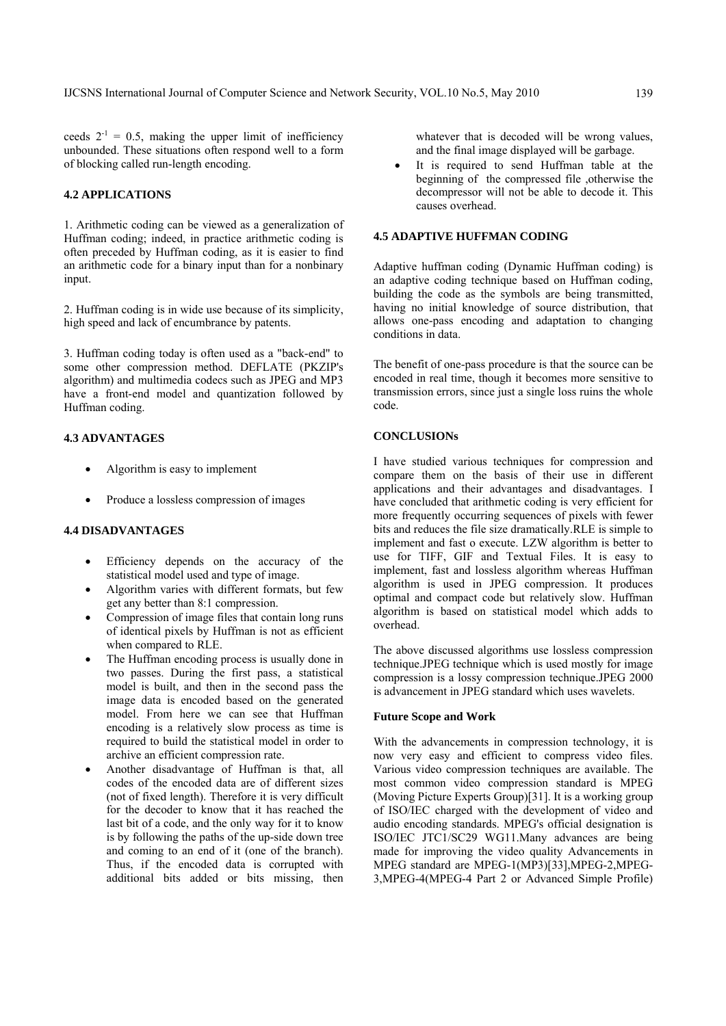ceeds  $2^{-1} = 0.5$ , making the upper limit of inefficiency unbounded. These situations often respond well to a form of blocking called run-length encoding.

# **4.2 APPLICATIONS**

1. Arithmetic coding can be viewed as a generalization of Huffman coding; indeed, in practice arithmetic coding is often preceded by Huffman coding, as it is easier to find an arithmetic code for a binary input than for a nonbinary input.

2. Huffman coding is in wide use because of its simplicity, high speed and lack of encumbrance by patents.

3. Huffman coding today is often used as a "back-end" to some other compression method. DEFLATE (PKZIP's algorithm) and multimedia codecs such as JPEG and MP3 have a front-end model and quantization followed by Huffman coding.

## **4.3 ADVANTAGES**

- Algorithm is easy to implement
- Produce a lossless compression of images

## **4.4 DISADVANTAGES**

- Efficiency depends on the accuracy of the statistical model used and type of image.
- Algorithm varies with different formats, but few get any better than 8:1 compression.
- Compression of image files that contain long runs of identical pixels by Huffman is not as efficient when compared to RLE.
- The Huffman encoding process is usually done in two passes. During the first pass, a statistical model is built, and then in the second pass the image data is encoded based on the generated model. From here we can see that Huffman encoding is a relatively slow process as time is required to build the statistical model in order to archive an efficient compression rate.
- Another disadvantage of Huffman is that, all codes of the encoded data are of different sizes (not of fixed length). Therefore it is very difficult for the decoder to know that it has reached the last bit of a code, and the only way for it to know is by following the paths of the up-side down tree and coming to an end of it (one of the branch). Thus, if the encoded data is corrupted with additional bits added or bits missing, then

whatever that is decoded will be wrong values, and the final image displayed will be garbage.

It is required to send Huffman table at the beginning of the compressed file ,otherwise the decompressor will not be able to decode it. This causes overhead.

## **4.5 ADAPTIVE HUFFMAN CODING**

Adaptive huffman coding (Dynamic Huffman coding) is an adaptive coding technique based on Huffman coding, building the code as the symbols are being transmitted, having no initial knowledge of source distribution, that allows one-pass encoding and adaptation to changing conditions in data.

The benefit of one-pass procedure is that the source can be encoded in real time, though it becomes more sensitive to transmission errors, since just a single loss ruins the whole code.

## **CONCLUSIONs**

I have studied various techniques for compression and compare them on the basis of their use in different applications and their advantages and disadvantages. I have concluded that arithmetic coding is very efficient for more frequently occurring sequences of pixels with fewer bits and reduces the file size dramatically.RLE is simple to implement and fast o execute. LZW algorithm is better to use for TIFF, GIF and Textual Files. It is easy to implement, fast and lossless algorithm whereas Huffman algorithm is used in JPEG compression. It produces optimal and compact code but relatively slow. Huffman algorithm is based on statistical model which adds to overhead.

The above discussed algorithms use lossless compression technique.JPEG technique which is used mostly for image compression is a lossy compression technique.JPEG 2000 is advancement in JPEG standard which uses wavelets.

#### **Future Scope and Work**

With the advancements in compression technology, it is now very easy and efficient to compress video files. Various video compression techniques are available. The most common video compression standard is MPEG (Moving Picture Experts Group)[31]. It is a working group of ISO/IEC charged with the development of video and audio encoding standards. MPEG's official designation is ISO/IEC JTC1/SC29 WG11.Many advances are being made for improving the video quality Advancements in MPEG standard are MPEG-1(MP3)[33],MPEG-2,MPEG-3,MPEG-4(MPEG-4 Part 2 or Advanced Simple Profile)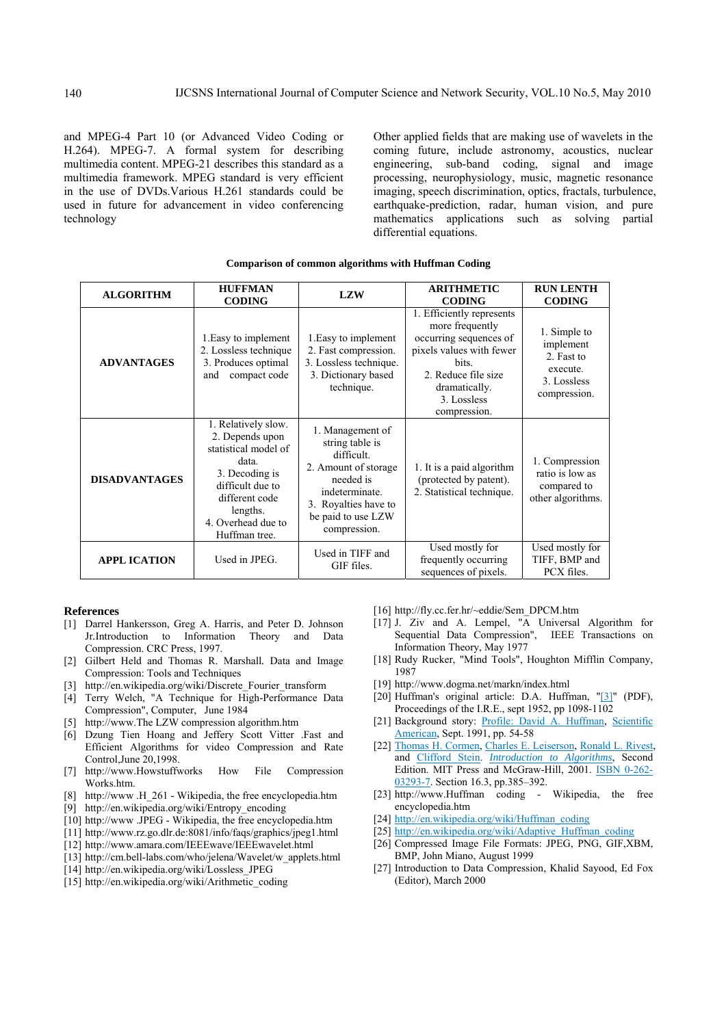and MPEG-4 Part 10 (or Advanced Video Coding or H.264). MPEG-7. A formal system for describing multimedia content. MPEG-21 describes this standard as a multimedia framework. MPEG standard is very efficient in the use of DVDs.Various H.261 standards could be used in future for advancement in video conferencing technology

Other applied fields that are making use of wavelets in the coming future, include astronomy, acoustics, nuclear engineering, sub-band coding, signal and image processing, neurophysiology, music, magnetic resonance imaging, speech discrimination, optics, fractals, turbulence, earthquake-prediction, radar, human vision, and pure mathematics applications such as solving partial differential equations.

| <b>ALGORITHM</b>     | <b>HUFFMAN</b><br><b>CODING</b>                                                                                                                                                    | <b>LZW</b>                                                                                                                                                             | <b>ARITHMETIC</b><br><b>CODING</b>                                                                                                                                                 | <b>RUN LENTH</b><br><b>CODING</b>                                                  |
|----------------------|------------------------------------------------------------------------------------------------------------------------------------------------------------------------------------|------------------------------------------------------------------------------------------------------------------------------------------------------------------------|------------------------------------------------------------------------------------------------------------------------------------------------------------------------------------|------------------------------------------------------------------------------------|
| <b>ADVANTAGES</b>    | 1. Easy to implement<br>2. Lossless technique<br>3. Produces optimal<br>compact code<br>and                                                                                        | 1. Easy to implement<br>2. Fast compression.<br>3. Lossless technique.<br>3. Dictionary based<br>technique.                                                            | 1. Efficiently represents<br>more frequently<br>occurring sequences of<br>pixels values with fewer<br>bits.<br>2. Reduce file size<br>dramatically.<br>3. Lossless<br>compression. | 1. Simple to<br>implement<br>2. Fast to<br>execute.<br>3. Lossless<br>compression. |
| <b>DISADVANTAGES</b> | 1. Relatively slow.<br>2. Depends upon<br>statistical model of<br>data.<br>3. Decoding is<br>difficult due to<br>different code<br>lengths.<br>4. Overhead due to<br>Huffman tree. | 1. Management of<br>string table is<br>difficult.<br>2. Amount of storage<br>needed is<br>indeterminate.<br>3. Royalties have to<br>be paid to use LZW<br>compression. | 1. It is a paid algorithm<br>(protected by patent).<br>2. Statistical technique.                                                                                                   | 1. Compression<br>ratio is low as<br>compared to<br>other algorithms.              |
| <b>APPL ICATION</b>  | Used in JPEG.                                                                                                                                                                      | Used in TIFF and<br>GIF files.                                                                                                                                         | Used mostly for<br>frequently occurring<br>sequences of pixels.                                                                                                                    | Used mostly for<br>TIFF, BMP and<br>PCX files.                                     |

#### **Comparison of common algorithms with Huffman Coding**

#### **References**

- [1] Darrel Hankersson, Greg A. Harris, and Peter D. Johnson Jr*.*Introduction to Information Theory and Data Compression. CRC Press, 1997.
- [2] Gilbert Held and Thomas R. Marshall*.* Data and Image Compression: Tools and Techniques
- [3] http://en.wikipedia.org/wiki/Discrete\_Fourier\_transform
- [4] Terry Welch, "A Technique for High-Performance Data
- Compression", Computer, June 1984 [5] http://www.The LZW compression algorithm.htm
- 
- [6] Dzung Tien Hoang and Jeffery Scott Vitter .Fast and Efficient Algorithms for video Compression and Rate Control,June 20,1998.
- [7] http://www.Howstuffworks How File Compression Works.htm.
- [8] http://www .H\_261 Wikipedia, the free encyclopedia.htm
- [9] http://en.wikipedia.org/wiki/Entropy\_encoding
- [10] http://www .JPEG Wikipedia, the free encyclopedia.htm
- [11] http://www.rz.go.dlr.de:8081/info/faqs/graphics/jpeg1.html
- [12] http://www.amara.com/IEEEwave/IEEEwavelet.html
- [13] http://cm.bell-labs.com/who/jelena/Wavelet/w\_applets.html
- [14] http://en.wikipedia.org/wiki/Lossless\_JPEG
- [15] http://en.wikipedia.org/wiki/Arithmetic\_coding
- [16] http://fly.cc.fer.hr/~eddie/Sem\_DPCM.htm
- [17] J. Ziv and A. Lempel, "A Universal Algorithm for Sequential Data Compression", IEEE Transactions on Information Theory, May 1977
- [18] Rudy Rucker, "Mind Tools", Houghton Mifflin Company, 1987
- [19] http://www.dogma.net/markn/index.html
- [20] Huffman's original article: D.A. Huffman, "[3]" (PDF), Proceedings of the I.R.E., sept 1952, pp 1098-1102
- [21] Background story: Profile: David A. Huffman, Scientific American, Sept. 1991, pp. 54-58
- [22] Thomas H. Cormen, Charles E. Leiserson, Ronald L. Rivest, and Clifford Stein. *Introduction to Algorithms*, Second Edition. MIT Press and McGraw-Hill, 2001. **ISBN 0-262-**03293-7. Section 16.3, pp.385–392.
- [23] http://www.Huffman coding Wikipedia, the free encyclopedia.htm
- [24] http://en.wikipedia.org/wiki/Huffman\_coding
- [25] http://en.wikipedia.org/wiki/Adaptive\_Huffman\_coding
- [26] Compressed Image File Formats: JPEG, PNG, GIF,XBM, BMP, John Miano, August 1999
- [27] Introduction to Data Compression, Khalid Sayood, Ed Fox (Editor), March 2000